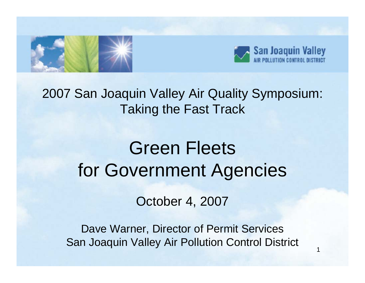



1

### 2007 San Joaquin Valley Air Quality Symposium: Taking the Fast Track

# Green Fleets for Government Agencies

October 4, 2007

Dave Warner, Director of Permit Services San Joaquin Valley Air Pollution Control District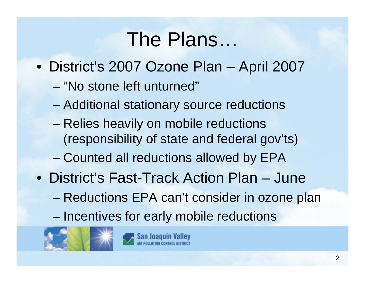### The Plans…

- District's 2007 Ozone Plan April 2007
	- "No stone left unturned"
	- and the state of the state Additional stationary source reductions
	- and the state of the state Relies heavily on mobile reductions (responsibility of state and federal gov'ts)
	- and the state of the state Counted all reductions allowed by EPA
- District's Fast-Track Action Plan June
	- –Reductions EPA can't consider in ozone plan
	- –Incentives for early mobile reductions



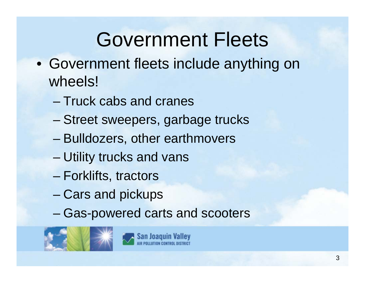## Government Fleets

- Government fleets include anything on wheels!
	- Truck cabs and cranes
	- –Street sweepers, garbage trucks
	- and the state of the state Bulldozers, other earthmovers
	- and the state of the state Utility trucks and vans
	- –Forklifts, tractors
	- and the state of the state Cars and pickups
	- and the state of the state Gas-powered carts and scooters



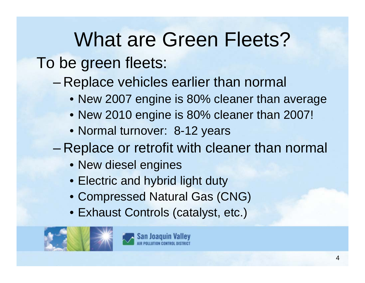## What are Green Fleets?

To be green fleets:

#### –Replace vehicles earlier than normal

- New 2007 engine is 80% cleaner than average
- New 2010 engine is 80% cleaner than 2007!
- Normal turnover: 8-12 years

–Replace or retrofit with cleaner than normal

- New diesel engines
- Electric and hybrid light duty
- Compressed Natural Gas (CNG)
- Exhaust Controls (catalyst, etc.)



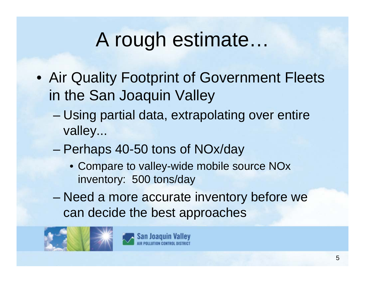## A rough estimate…

- Air Quality Footprint of Government Fleets in the San Joaquin Valley
	- and the state of the state Using partial data, extrapolating over entire valley...
	- and the state of the state Perhaps 40-50 tons of NOx/day
		- Compare to valley-wide mobile source NOx inventory: 500 tons/day
	- – Need a more accurate inventory before we can decide the best approaches



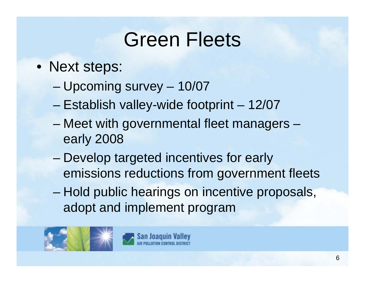### Green Fleets

- Next steps:
	- –Upcoming survey – 10/07
	- and the state of the state Establish valley-wide footprint – 12/07
	- and the state of the state Meet with governmental fleet managers – early 2008
	- and the state of the state Develop targeted incentives for early emissions reductions from government fleets
	- – Hold public hearings on incentive proposals, adopt and implement program